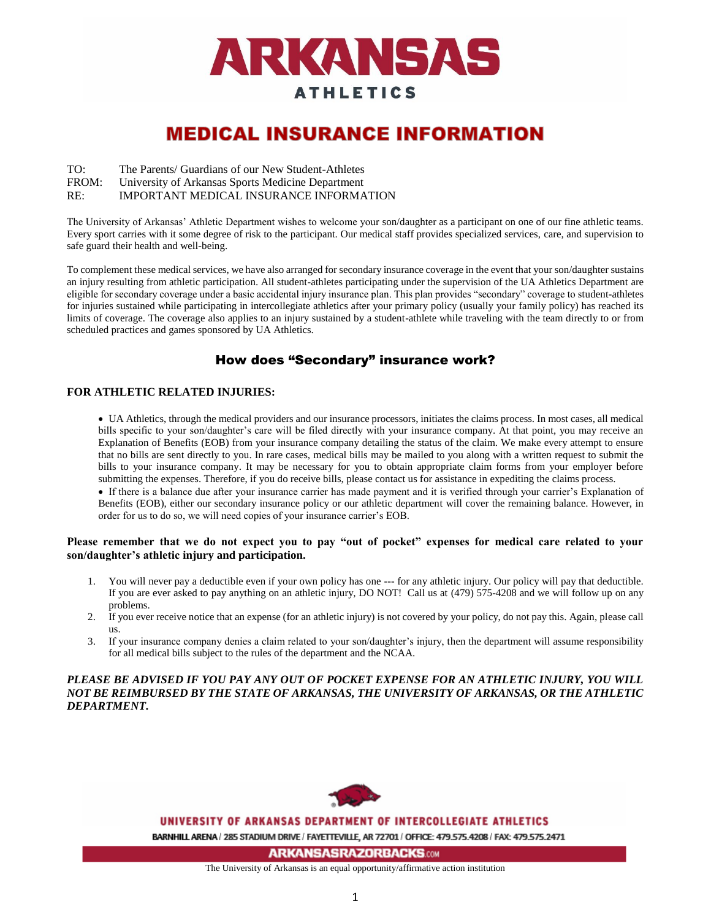

# **MEDICAL INSURANCE INFORMATION**

- TO: The Parents/ Guardians of our New Student-Athletes
- FROM: University of Arkansas Sports Medicine Department

RE: IMPORTANT MEDICAL INSURANCE INFORMATION

The University of Arkansas' Athletic Department wishes to welcome your son/daughter as a participant on one of our fine athletic teams. Every sport carries with it some degree of risk to the participant. Our medical staff provides specialized services, care, and supervision to safe guard their health and well-being.

To complement these medical services, we have also arranged for secondary insurance coverage in the event that your son/daughter sustains an injury resulting from athletic participation. All student-athletes participating under the supervision of the UA Athletics Department are eligible for secondary coverage under a basic accidental injury insurance plan. This plan provides "secondary" coverage to student-athletes for injuries sustained while participating in intercollegiate athletics after your primary policy (usually your family policy) has reached its limits of coverage. The coverage also applies to an injury sustained by a student-athlete while traveling with the team directly to or from scheduled practices and games sponsored by UA Athletics.

# How does "Secondary" insurance work?

# **FOR ATHLETIC RELATED INJURIES:**

 UA Athletics, through the medical providers and our insurance processors, initiates the claims process. In most cases, all medical bills specific to your son/daughter's care will be filed directly with your insurance company. At that point, you may receive an Explanation of Benefits (EOB) from your insurance company detailing the status of the claim. We make every attempt to ensure that no bills are sent directly to you. In rare cases, medical bills may be mailed to you along with a written request to submit the bills to your insurance company. It may be necessary for you to obtain appropriate claim forms from your employer before submitting the expenses. Therefore, if you do receive bills, please contact us for assistance in expediting the claims process.

 If there is a balance due after your insurance carrier has made payment and it is verified through your carrier's Explanation of Benefits (EOB), either our secondary insurance policy or our athletic department will cover the remaining balance. However, in order for us to do so, we will need copies of your insurance carrier's EOB.

### **Please remember that we do not expect you to pay "out of pocket" expenses for medical care related to your son/daughter's athletic injury and participation.**

- 1. You will never pay a deductible even if your own policy has one --- for any athletic injury. Our policy will pay that deductible. If you are ever asked to pay anything on an athletic injury, DO NOT! Call us at (479) 575-4208 and we will follow up on any problems.
- 2. If you ever receive notice that an expense (for an athletic injury) is not covered by your policy, do not pay this. Again, please call us.
- 3. If your insurance company denies a claim related to your son/daughter's injury, then the department will assume responsibility for all medical bills subject to the rules of the department and the NCAA.

# *PLEASE BE ADVISED IF YOU PAY ANY OUT OF POCKET EXPENSE FOR AN ATHLETIC INJURY, YOU WILL NOT BE REIMBURSED BY THE STATE OF ARKANSAS, THE UNIVERSITY OF ARKANSAS, OR THE ATHLETIC DEPARTMENT.*



#### UNIVERSITY OF ARKANSAS DEPARTMENT OF INTERCOLLEGIATE ATHLETICS

BARNHILL ARENA / 285 STADIUM DRIVE / FAYETTEVILLE, AR 72701 / OFFICE: 479.575.4208 / FAX: 479.575.2471

**ARKANSASRAZORBACKS.com** 

The University of Arkansas is an equal opportunity/affirmative action institution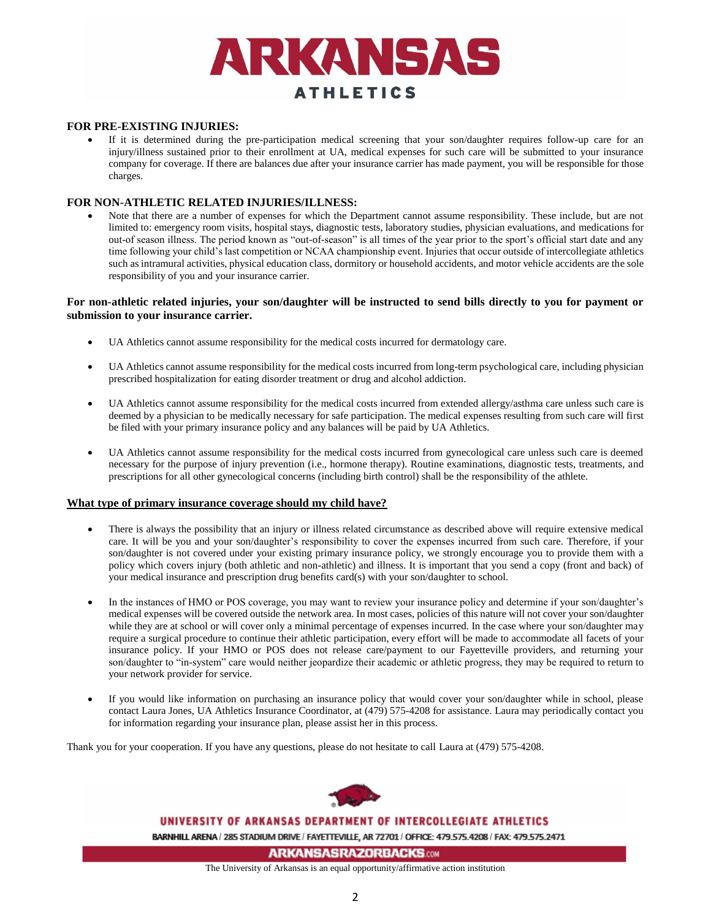

### **FOR PRE-EXISTING INJURIES:**

 If it is determined during the pre-participation medical screening that your son/daughter requires follow-up care for an injury/illness sustained prior to their enrollment at UA, medical expenses for such care will be submitted to your insurance company for coverage. If there are balances due after your insurance carrier has made payment, you will be responsible for those charges.

#### **FOR NON-ATHLETIC RELATED INJURIES/ILLNESS:**

 Note that there are a number of expenses for which the Department cannot assume responsibility. These include, but are not limited to: emergency room visits, hospital stays, diagnostic tests, laboratory studies, physician evaluations, and medications for out-of season illness. The period known as "out-of-season" is all times of the year prior to the sport's official start date and any time following your child's last competition or NCAA championship event. Injuries that occur outside of intercollegiate athletics such as intramural activities, physical education class, dormitory or household accidents, and motor vehicle accidents are the sole responsibility of you and your insurance carrier.

#### **For non-athletic related injuries, your son/daughter will be instructed to send bills directly to you for payment or submission to your insurance carrier.**

- UA Athletics cannot assume responsibility for the medical costs incurred for dermatology care.
- UA Athletics cannot assume responsibility for the medical costs incurred from long-term psychological care, including physician prescribed hospitalization for eating disorder treatment or drug and alcohol addiction.
- UA Athletics cannot assume responsibility for the medical costs incurred from extended allergy/asthma care unless such care is deemed by a physician to be medically necessary for safe participation. The medical expenses resulting from such care will first be filed with your primary insurance policy and any balances will be paid by UA Athletics.
- UA Athletics cannot assume responsibility for the medical costs incurred from gynecological care unless such care is deemed necessary for the purpose of injury prevention (i.e., hormone therapy). Routine examinations, diagnostic tests, treatments, and prescriptions for all other gynecological concerns (including birth control) shall be the responsibility of the athlete.

#### **What type of primary insurance coverage should my child have?**

- There is always the possibility that an injury or illness related circumstance as described above will require extensive medical care. It will be you and your son/daughter's responsibility to cover the expenses incurred from such care. Therefore, if your son/daughter is not covered under your existing primary insurance policy, we strongly encourage you to provide them with a policy which covers injury (both athletic and non-athletic) and illness. It is important that you send a copy (front and back) of your medical insurance and prescription drug benefits card(s) with your son/daughter to school.
- In the instances of HMO or POS coverage, you may want to review your insurance policy and determine if your son/daughter's medical expenses will be covered outside the network area. In most cases, policies of this nature will not cover your son/daughter while they are at school or will cover only a minimal percentage of expenses incurred. In the case where your son/daughter may require a surgical procedure to continue their athletic participation, every effort will be made to accommodate all facets of your insurance policy. If your HMO or POS does not release care/payment to our Fayetteville providers, and returning your son/daughter to "in-system" care would neither jeopardize their academic or athletic progress, they may be required to return to your network provider for service.
- If you would like information on purchasing an insurance policy that would cover your son/daughter while in school, please contact Laura Jones, UA Athletics Insurance Coordinator, at (479) 575-4208 for assistance. Laura may periodically contact you for information regarding your insurance plan, please assist her in this process.

Thank you for your cooperation. If you have any questions, please do not hesitate to call Laura at (479) 575-4208.



#### UNIVERSITY OF ARKANSAS DEPARTMENT OF INTERCOLLEGIATE ATHLETICS

BARNHILL ARENA / 285 STADIUM DRIVE / FAYETTEVILLE, AR 72701 / OFFICE: 479.575.4208 / FAX: 479.575.2471

**ARKANSASRAZORBACKS.com** 

The University of Arkansas is an equal opportunity/affirmative action institution